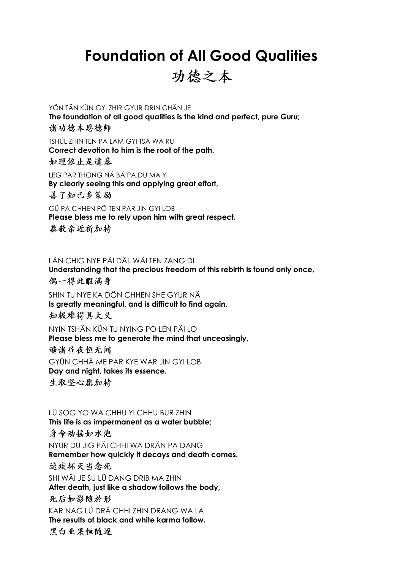## **Foundation of All Good Qualities**

功德之本

YÖN TÄN KÜN GYI ZHIR GYUR DRIN CHÄN JE **The foundation of all good qualities is the kind and perfect, pure Guru;**  诸功德本恩德师

TSHÜL ZHIN TEN PA LAM GYI TSA WA RU **Correct devotion to him is the root of the path.**  如理依止是道基

LEG PAR THONG NÄ BÄ PA DU MA YI **By clearly seeing this and applying great effort,**  善了知已多策励

GÜ PA CHHEN PÖ TEN PAR JIN GYI LOB **Please bless me to rely upon him with great respect.**  恭敬亲近祈加持

LÄN CHIG NYE PÄI DÄL WÄI TEN ZANG DI **Understanding that the precious freedom of this rebirth is found only once,** 

偶一得此暇满身

SHIN TU NYE KA DÖN CHHEN SHE GYUR NÄ **Is greatly meaningful, and is difficult to find again,**  知极难得具大义

NYIN TSHÄN KÜN TU NYING PO LEN PÄI LO **Please bless me to generate the mind that unceasingly,** 遍诸昼夜恒无间 GYÜN CHHÄ ME PAR KYE WAR JIN GYI LOB **Day and night, takes its essence.**  生取坚心愿加持

LÜ SOG YO WA CHHU YI CHHU BUR ZHIN **This life is as impermanent as a water bubble;**  身命动摇如水泡 NYUR DU JIG PÄI CHHI WA DRÄN PA DANG **Remember how quickly it decays and death comes.** 速疾坏灭当念死 SHI WÄI JE SU LÜ DANG DRIB MA ZHIN **After death, just like a shadow follows the body,**  死后如影随於形 KAR NAG LÜ DRÄ CHHI ZHIN DRANG WA LA **The results of black and white karma follow.** 黑白业果恒随逐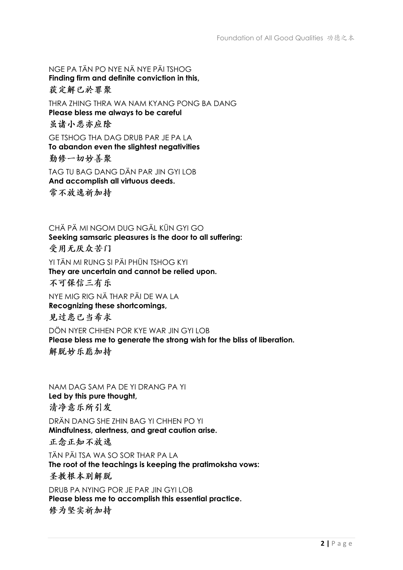NGE PA TÄN PO NYE NÄ NYE PÄI TSHOG **Finding firm and definite conviction in this,**  获定解已於罪聚 THRA ZHING THRA WA NAM KYANG PONG BA DANG **Please bless me always to be careful**  虽诸小恶亦应除 GE TSHOG THA DAG DRUB PAR JE PA LA **To abandon even the slightest negativities**  勤修一切妙善聚 TAG TU BAG DANG DÄN PAR JIN GYI LOB **And accomplish all virtuous deeds.** 

常不放逸祈加持

CHÄ PÄ MI NGOM DUG NGÄL KÜN GYI GO **Seeking samsaric pleasures is the door to all suffering:**  受用无厌众苦门 YI TÄN MI RUNG SI PÄI PHÜN TSHOG KYI **They are uncertain and cannot be relied upon.**  不可保信三有乐 NYE MIG RIG NÄ THAR PÄI DE WA LA **Recognizing these shortcomings,**  见过患已当希求

DÖN NYER CHHEN POR KYE WAR JIN GYI LOB **Please bless me to generate the strong wish for the bliss of liberation.**  解脱妙乐愿加持

NAM DAG SAM PA DE YI DRANG PA YI **Led by this pure thought,**  清净意乐所引发 DRÄN DANG SHE ZHIN BAG YI CHHEN PO YI **Mindfulness, alertness, and great caution arise.**  正念正知不放逸 TÄN PÄI TSA WA SO SOR THAR PA LA **The root of the teachings is keeping the pratimoksha vows:**  圣教根本别解脱 DRUB PA NYING POR JE PAR JIN GYI LOB **Please bless me to accomplish this essential practice.** 

修为坚实祈加持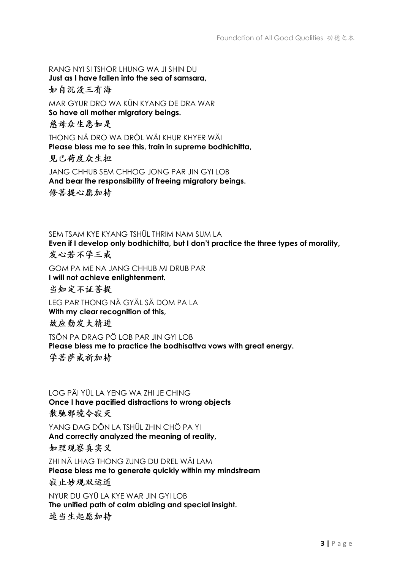RANG NYI SI TSHOR LHUNG WA JI SHIN DU **Just as I have fallen into the sea of samsara,**  如自沉没三有海 MAR GYUR DRO WA KÜN KYANG DE DRA WAR **So have all mother migratory beings.** 慈母众生悉如是 THONG NÄ DRO WA DRÖL WÄI KHUR KHYER WÄI **Please bless me to see this, train in supreme bodhichitta,**  见已荷度众生担 JANG CHHUB SEM CHHOG JONG PAR JIN GYI LOB

**And bear the responsibility of freeing migratory beings.**  修菩提心愿加持

SEM TSAM KYE KYANG TSHÜL THRIM NAM SUM LA **Even if I develop only bodhichitta, but I don't practice the three types of morality,**  发心若不学三戒

GOM PA ME NA JANG CHHUB MI DRUB PAR **I will not achieve enlightenment.**  当知定不证菩提

LEG PAR THONG NÄ GYÄL SÄ DOM PA LA **With my clear recognition of this,**  故应勤发大精进

TSÖN PA DRAG PÖ LOB PAR JIN GYI LOB **Please bless me to practice the bodhisattva vows with great energy.**  学菩萨戒祈加持

LOG PÄI YÜL LA YENG WA ZHI JE CHING **Once I have pacified distractions to wrong objects**  散驰邪境今寂灭

YANG DAG DÖN LA TSHÜL ZHIN CHÖ PA YI **And correctly analyzed the meaning of reality,**  如理观察真实义

ZHI NÄ LHAG THONG ZUNG DU DREL WÄI LAM **Please bless me to generate quickly within my mindstream** 寂止妙观双运道

NYUR DU GYÜ LA KYE WAR JIN GYI LOB **The unified path of calm abiding and special insight.** 速当生起愿加持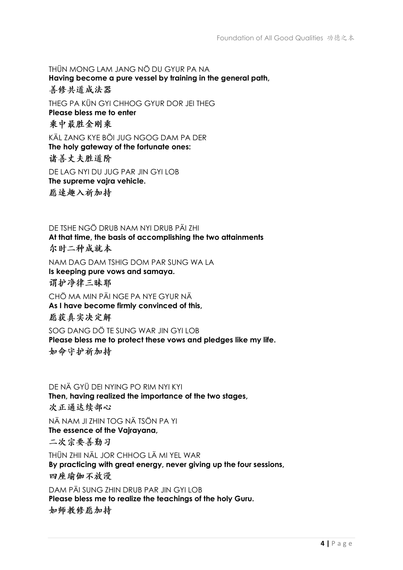THÜN MONG LAM JANG NÖ DU GYUR PA NA **Having become a pure vessel by training in the general path,**  善修共道成法器 THEG PA KÜN GYI CHHOG GYUR DOR JEI THEG **Please bless me to enter**  乘中最胜金刚乘 KÄL ZANG KYE BÖI JUG NGOG DAM PA DER **The holy gateway of the fortunate ones:**  诸善丈夫胜道阶 DE LAG NYI DU JUG PAR JIN GYI LOB **The supreme vajra vehicle.** 愿速趣入祈加持

DE TSHE NGÖ DRUB NAM NYI DRUB PÄI ZHI **At that time, the basis of accomplishing the two attainments**  尔时二种成就本 NAM DAG DAM TSHIG DOM PAR SUNG WA LA **Is keeping pure vows and samaya.**  谓护净律三昧耶 CHÖ MA MIN PÄI NGE PA NYE GYUR NÄ **As I have become firmly convinced of this,**  愿获真实决定解 SOG DANG DÖ TE SUNG WAR JIN GYLLOB **Please bless me to protect these vows and pledges like my life.** 

如命守护祈加持

DE NÄ GYÜ DEI NYING PO RIM NYI KYI **Then, having realized the importance of the two stages,** 次正通达续部心 NÄ NAM JI ZHIN TOG NÄ TSÖN PA YI **The essence of the Vajrayana,**  二次宗要善勤习 THÜN ZHII NÄL JOR CHHOG LÄ MI YEL WAR **By practicing with great energy, never giving up the four sessions,**  四座瑜伽不放漫 DAM PÄI SUNG ZHIN DRUB PAR JIN GYI LOB **Please bless me to realize the teachings of the holy Guru.** 如师教修愿加持